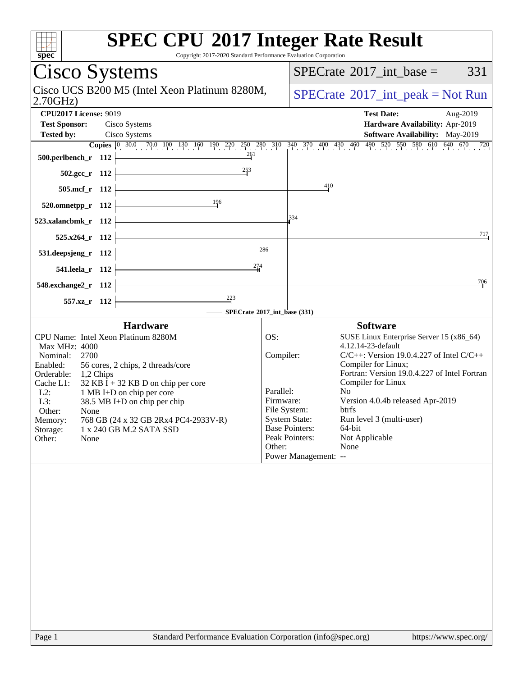| <b>SPEC CPU®2017 Integer Rate Result</b><br>spec<br>Copyright 2017-2020 Standard Performance Evaluation Corporation                                                                                                                                                                                                                                                                                                                      |                                                      |                                                                                                                                                                                                                                                                                                                                                                                                                                                                           |
|------------------------------------------------------------------------------------------------------------------------------------------------------------------------------------------------------------------------------------------------------------------------------------------------------------------------------------------------------------------------------------------------------------------------------------------|------------------------------------------------------|---------------------------------------------------------------------------------------------------------------------------------------------------------------------------------------------------------------------------------------------------------------------------------------------------------------------------------------------------------------------------------------------------------------------------------------------------------------------------|
| Cisco Systems                                                                                                                                                                                                                                                                                                                                                                                                                            |                                                      | 331<br>$SPECrate^{\circ}2017\_int\_base =$                                                                                                                                                                                                                                                                                                                                                                                                                                |
| Cisco UCS B200 M5 (Intel Xeon Platinum 8280M,<br>2.70GHz                                                                                                                                                                                                                                                                                                                                                                                 | $SPECrate^{\circledcirc}2017\_int\_peak = Not Run$   |                                                                                                                                                                                                                                                                                                                                                                                                                                                                           |
| <b>CPU2017 License: 9019</b><br><b>Test Sponsor:</b><br>Cisco Systems<br>Cisco Systems<br><b>Tested by:</b><br>$\frac{261}{1}$<br>500.perlbench_r 112                                                                                                                                                                                                                                                                                    |                                                      | <b>Test Date:</b><br>Aug-2019<br>Hardware Availability: Apr-2019<br>Software Availability: May-2019<br><b>Copies</b> 0 30.0 70.0 100 130 160 190 220 250 280 310 340 370 400 430 460 490 520 550 580 610 640 670 720                                                                                                                                                                                                                                                      |
| 253<br>$502.\text{gcc}_r$ 112                                                                                                                                                                                                                                                                                                                                                                                                            |                                                      |                                                                                                                                                                                                                                                                                                                                                                                                                                                                           |
| 505.mcf_r 112                                                                                                                                                                                                                                                                                                                                                                                                                            |                                                      | 410                                                                                                                                                                                                                                                                                                                                                                                                                                                                       |
| 196<br>520.omnetpp_r 112                                                                                                                                                                                                                                                                                                                                                                                                                 |                                                      |                                                                                                                                                                                                                                                                                                                                                                                                                                                                           |
| 523.xalancbmk_r 112                                                                                                                                                                                                                                                                                                                                                                                                                      |                                                      | 334                                                                                                                                                                                                                                                                                                                                                                                                                                                                       |
| $525.x264$ r 112                                                                                                                                                                                                                                                                                                                                                                                                                         |                                                      | 717                                                                                                                                                                                                                                                                                                                                                                                                                                                                       |
| 531.deepsjeng_r 112                                                                                                                                                                                                                                                                                                                                                                                                                      | 286                                                  |                                                                                                                                                                                                                                                                                                                                                                                                                                                                           |
| 541.leela_r 112                                                                                                                                                                                                                                                                                                                                                                                                                          |                                                      | 706                                                                                                                                                                                                                                                                                                                                                                                                                                                                       |
| 548.exchange2_r 112<br>557.xz_r 112                                                                                                                                                                                                                                                                                                                                                                                                      |                                                      |                                                                                                                                                                                                                                                                                                                                                                                                                                                                           |
| - SPECrate®2017_int_base (331)                                                                                                                                                                                                                                                                                                                                                                                                           |                                                      |                                                                                                                                                                                                                                                                                                                                                                                                                                                                           |
| <b>Hardware</b><br>CPU Name: Intel Xeon Platinum 8280M<br>Max MHz: 4000<br>Nominal:<br>2700<br>Enabled:<br>56 cores, 2 chips, 2 threads/core<br>Orderable:<br>1,2 Chips<br>Cache L1:<br>$32$ KB I + 32 KB D on chip per core<br>$L2$ :<br>1 MB I+D on chip per core<br>L3:<br>38.5 MB I+D on chip per chip<br>Other:<br>None<br>768 GB (24 x 32 GB 2Rx4 PC4-2933V-R)<br>Memory:<br>Storage:<br>1 x 240 GB M.2 SATA SSD<br>Other:<br>None | OS:<br>Compiler:<br>Parallel:<br>Firmware:<br>Other: | <b>Software</b><br>SUSE Linux Enterprise Server 15 (x86_64)<br>4.12.14-23-default<br>$C/C++$ : Version 19.0.4.227 of Intel $C/C++$<br>Compiler for Linux;<br>Fortran: Version 19.0.4.227 of Intel Fortran<br>Compiler for Linux<br>N <sub>0</sub><br>Version 4.0.4b released Apr-2019<br>File System:<br>btrfs<br><b>System State:</b><br>Run level 3 (multi-user)<br><b>Base Pointers:</b><br>64-bit<br>Peak Pointers:<br>Not Applicable<br>None<br>Power Management: -- |
| Standard Performance Evaluation Corporation (info@spec.org)<br>Page 1                                                                                                                                                                                                                                                                                                                                                                    |                                                      | https://www.spec.org/                                                                                                                                                                                                                                                                                                                                                                                                                                                     |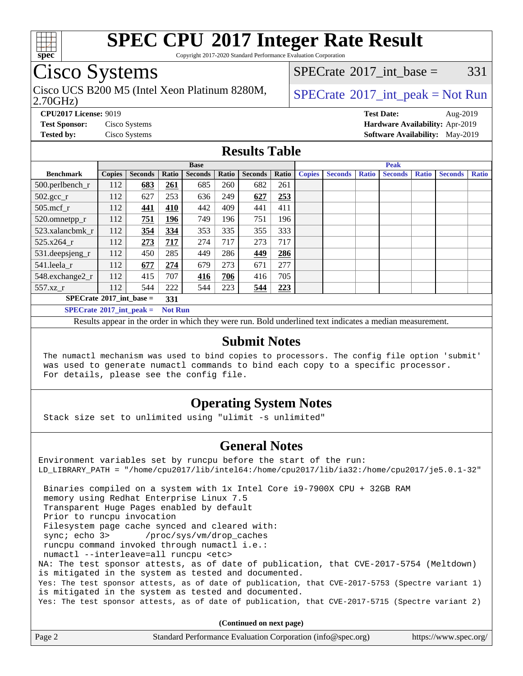

Copyright 2017-2020 Standard Performance Evaluation Corporation

### Cisco Systems

2.70GHz) Cisco UCS B200 M5 (Intel Xeon Platinum 8280M,  $SPECrate^{\circ}2017\_int\_peak = Not Run$  $SPECrate^{\circ}2017\_int\_peak = Not Run$ 

[SPECrate](http://www.spec.org/auto/cpu2017/Docs/result-fields.html#SPECrate2017intbase)<sup>®</sup>2017 int base =  $331$ 

**[CPU2017 License:](http://www.spec.org/auto/cpu2017/Docs/result-fields.html#CPU2017License)** 9019 **[Test Date:](http://www.spec.org/auto/cpu2017/Docs/result-fields.html#TestDate)** Aug-2019 **[Test Sponsor:](http://www.spec.org/auto/cpu2017/Docs/result-fields.html#TestSponsor)** Cisco Systems **[Hardware Availability:](http://www.spec.org/auto/cpu2017/Docs/result-fields.html#HardwareAvailability)** Apr-2019 **[Tested by:](http://www.spec.org/auto/cpu2017/Docs/result-fields.html#Testedby)** Cisco Systems **[Software Availability:](http://www.spec.org/auto/cpu2017/Docs/result-fields.html#SoftwareAvailability)** May-2019

#### **[Results Table](http://www.spec.org/auto/cpu2017/Docs/result-fields.html#ResultsTable)**

|                                                     | <b>Base</b>   |                |       |                |       | <b>Peak</b>    |       |               |                |              |                |              |                |              |
|-----------------------------------------------------|---------------|----------------|-------|----------------|-------|----------------|-------|---------------|----------------|--------------|----------------|--------------|----------------|--------------|
| <b>Benchmark</b>                                    | <b>Copies</b> | <b>Seconds</b> | Ratio | <b>Seconds</b> | Ratio | <b>Seconds</b> | Ratio | <b>Copies</b> | <b>Seconds</b> | <b>Ratio</b> | <b>Seconds</b> | <b>Ratio</b> | <b>Seconds</b> | <b>Ratio</b> |
| $500.$ perlbench_r                                  | 112           | 683            | 261   | 685            | 260   | 682            | 261   |               |                |              |                |              |                |              |
| $502.\text{gcc}_r$                                  | 112           | 627            | 253   | 636            | 249   | 627            | 253   |               |                |              |                |              |                |              |
| $505$ .mcf r                                        | 112           | 441            | 410   | 442            | 409   | 441            | 411   |               |                |              |                |              |                |              |
| 520.omnetpp_r                                       | 112           | 751            | 196   | 749            | 196   | 751            | 196   |               |                |              |                |              |                |              |
| 523.xalancbmk_r                                     | 112           | 354            | 334   | 353            | 335   | 355            | 333   |               |                |              |                |              |                |              |
| 525.x264 r                                          | 112           | 273            | 717   | 274            | 717   | 273            | 717   |               |                |              |                |              |                |              |
| 531.deepsjeng_r                                     | 112           | 450            | 285   | 449            | 286   | 449            | 286   |               |                |              |                |              |                |              |
| 541.leela r                                         | 112           | 677            | 274   | 679            | 273   | 671            | 277   |               |                |              |                |              |                |              |
| 548.exchange2_r                                     | 112           | 415            | 707   | 416            | 706   | 416            | 705   |               |                |              |                |              |                |              |
| 557.xz r                                            | 112           | 544            | 222   | 544            | 223   | 544            | 223   |               |                |              |                |              |                |              |
| $SPECrate^{\circ}2017$ int base =<br>331            |               |                |       |                |       |                |       |               |                |              |                |              |                |              |
| $SPECrate^{\circ}2017$ int peak =<br><b>Not Run</b> |               |                |       |                |       |                |       |               |                |              |                |              |                |              |

Results appear in the [order in which they were run](http://www.spec.org/auto/cpu2017/Docs/result-fields.html#RunOrder). Bold underlined text [indicates a median measurement](http://www.spec.org/auto/cpu2017/Docs/result-fields.html#Median).

#### **[Submit Notes](http://www.spec.org/auto/cpu2017/Docs/result-fields.html#SubmitNotes)**

 The numactl mechanism was used to bind copies to processors. The config file option 'submit' was used to generate numactl commands to bind each copy to a specific processor. For details, please see the config file.

### **[Operating System Notes](http://www.spec.org/auto/cpu2017/Docs/result-fields.html#OperatingSystemNotes)**

Stack size set to unlimited using "ulimit -s unlimited"

#### **[General Notes](http://www.spec.org/auto/cpu2017/Docs/result-fields.html#GeneralNotes)**

Environment variables set by runcpu before the start of the run: LD\_LIBRARY\_PATH = "/home/cpu2017/lib/intel64:/home/cpu2017/lib/ia32:/home/cpu2017/je5.0.1-32" Binaries compiled on a system with 1x Intel Core i9-7900X CPU + 32GB RAM memory using Redhat Enterprise Linux 7.5 Transparent Huge Pages enabled by default Prior to runcpu invocation Filesystem page cache synced and cleared with: sync; echo 3> /proc/sys/vm/drop\_caches runcpu command invoked through numactl i.e.: numactl --interleave=all runcpu <etc> NA: The test sponsor attests, as of date of publication, that CVE-2017-5754 (Meltdown) is mitigated in the system as tested and documented. Yes: The test sponsor attests, as of date of publication, that CVE-2017-5753 (Spectre variant 1) is mitigated in the system as tested and documented. Yes: The test sponsor attests, as of date of publication, that CVE-2017-5715 (Spectre variant 2)

**(Continued on next page)**

| Page 2<br>Standard Performance Evaluation Corporation (info@spec.org)<br>https://www.spec.org/ |
|------------------------------------------------------------------------------------------------|
|------------------------------------------------------------------------------------------------|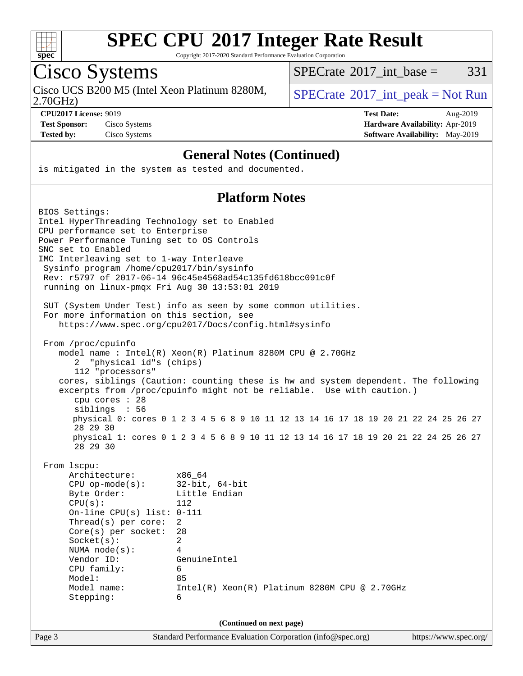

Copyright 2017-2020 Standard Performance Evaluation Corporation

# Cisco Systems

Cisco UCS B200 M5 (Intel Xeon Platinum 8280M,  $SPECrate^{\circ}2017\_int\_peak = Not Run$  $SPECrate^{\circ}2017\_int\_peak = Not Run$ 

 $SPECTate@2017_int\_base = 331$ 

2.70GHz)

**[CPU2017 License:](http://www.spec.org/auto/cpu2017/Docs/result-fields.html#CPU2017License)** 9019 **[Test Date:](http://www.spec.org/auto/cpu2017/Docs/result-fields.html#TestDate)** Aug-2019 **[Test Sponsor:](http://www.spec.org/auto/cpu2017/Docs/result-fields.html#TestSponsor)** Cisco Systems **[Hardware Availability:](http://www.spec.org/auto/cpu2017/Docs/result-fields.html#HardwareAvailability)** Apr-2019 **[Tested by:](http://www.spec.org/auto/cpu2017/Docs/result-fields.html#Testedby)** Cisco Systems **[Software Availability:](http://www.spec.org/auto/cpu2017/Docs/result-fields.html#SoftwareAvailability)** May-2019

#### **[General Notes \(Continued\)](http://www.spec.org/auto/cpu2017/Docs/result-fields.html#GeneralNotes)**

is mitigated in the system as tested and documented.

#### **[Platform Notes](http://www.spec.org/auto/cpu2017/Docs/result-fields.html#PlatformNotes)**

| BIOS Settings:                                 |                                                                                         |                       |  |  |  |
|------------------------------------------------|-----------------------------------------------------------------------------------------|-----------------------|--|--|--|
| Intel HyperThreading Technology set to Enabled |                                                                                         |                       |  |  |  |
| CPU performance set to Enterprise              |                                                                                         |                       |  |  |  |
| Power Performance Tuning set to OS Controls    |                                                                                         |                       |  |  |  |
| SNC set to Enabled                             |                                                                                         |                       |  |  |  |
| IMC Interleaving set to 1-way Interleave       |                                                                                         |                       |  |  |  |
| Sysinfo program /home/cpu2017/bin/sysinfo      |                                                                                         |                       |  |  |  |
|                                                | Rev: r5797 of 2017-06-14 96c45e4568ad54c135fd618bcc091c0f                               |                       |  |  |  |
| running on linux-pmqx Fri Aug 30 13:53:01 2019 |                                                                                         |                       |  |  |  |
|                                                | SUT (System Under Test) info as seen by some common utilities.                          |                       |  |  |  |
| For more information on this section, see      |                                                                                         |                       |  |  |  |
|                                                | https://www.spec.org/cpu2017/Docs/config.html#sysinfo                                   |                       |  |  |  |
| From /proc/cpuinfo                             |                                                                                         |                       |  |  |  |
|                                                | model name : Intel(R) Xeon(R) Platinum 8280M CPU @ 2.70GHz                              |                       |  |  |  |
| "physical id"s (chips)<br>2                    |                                                                                         |                       |  |  |  |
| 112 "processors"                               |                                                                                         |                       |  |  |  |
|                                                | cores, siblings (Caution: counting these is hw and system dependent. The following      |                       |  |  |  |
|                                                | excerpts from /proc/cpuinfo might not be reliable. Use with caution.)                   |                       |  |  |  |
| $cpu$ cores : 28                               |                                                                                         |                       |  |  |  |
| siblings : 56                                  |                                                                                         |                       |  |  |  |
| 28 29 30                                       | physical 0: cores 0 1 2 3 4 5 6 8 9 10 11 12 13 14 16 17 18 19 20 21 22 24 25 26 27     |                       |  |  |  |
|                                                | physical 1: cores 0 1 2 3 4 5 6 8 9 10 11 12 13 14 16 17 18 19 20 21 22 24 25 26 27     |                       |  |  |  |
| 28 29 30                                       |                                                                                         |                       |  |  |  |
| From 1scpu:                                    |                                                                                         |                       |  |  |  |
| Architecture:                                  | x86 64                                                                                  |                       |  |  |  |
| $CPU$ op-mode(s):                              | $32$ -bit, $64$ -bit                                                                    |                       |  |  |  |
| Byte Order:                                    | Little Endian                                                                           |                       |  |  |  |
| CPU(s):                                        | 112                                                                                     |                       |  |  |  |
| On-line CPU(s) list: $0-111$                   |                                                                                         |                       |  |  |  |
| Thread(s) per core:                            | 2                                                                                       |                       |  |  |  |
| $Core(s)$ per socket:                          | 28                                                                                      |                       |  |  |  |
| Socket(s):                                     | $\overline{2}$                                                                          |                       |  |  |  |
| NUMA $node(s)$ :                               | 4                                                                                       |                       |  |  |  |
| Vendor ID:                                     | GenuineIntel                                                                            |                       |  |  |  |
| CPU family:                                    | б.                                                                                      |                       |  |  |  |
| Model:                                         | 85                                                                                      |                       |  |  |  |
| Model name:                                    | $Intel(R) Xeon(R) Platinum 8280M CPU @ 2.70GHz$                                         |                       |  |  |  |
| Stepping:                                      | 6                                                                                       |                       |  |  |  |
|                                                |                                                                                         |                       |  |  |  |
| Page 3                                         | (Continued on next page)<br>Standard Performance Evaluation Corporation (info@spec.org) | https://www.spec.org/ |  |  |  |
|                                                |                                                                                         |                       |  |  |  |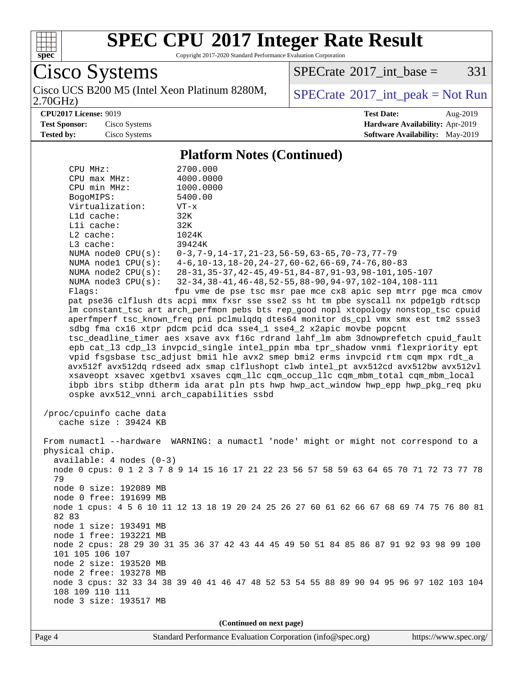

Copyright 2017-2020 Standard Performance Evaluation Corporation

Cisco Systems

2.70GHz) Cisco UCS B200 M5 (Intel Xeon Platinum 8280M,  $SPECrate^{\circ}2017\_int\_peak = Not Run$  $SPECrate^{\circ}2017\_int\_peak = Not Run$ 

 $SPECTate@2017_int\_base = 331$ 

**[CPU2017 License:](http://www.spec.org/auto/cpu2017/Docs/result-fields.html#CPU2017License)** 9019 **[Test Date:](http://www.spec.org/auto/cpu2017/Docs/result-fields.html#TestDate)** Aug-2019

**[Test Sponsor:](http://www.spec.org/auto/cpu2017/Docs/result-fields.html#TestSponsor)** Cisco Systems **[Hardware Availability:](http://www.spec.org/auto/cpu2017/Docs/result-fields.html#HardwareAvailability)** Apr-2019 **[Tested by:](http://www.spec.org/auto/cpu2017/Docs/result-fields.html#Testedby)** Cisco Systems **[Software Availability:](http://www.spec.org/auto/cpu2017/Docs/result-fields.html#SoftwareAvailability)** May-2019

**[Platform Notes \(Continued\)](http://www.spec.org/auto/cpu2017/Docs/result-fields.html#PlatformNotes)**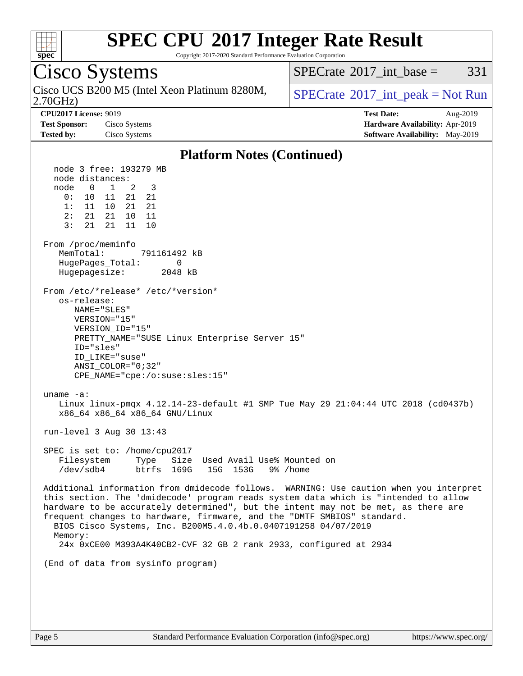

Copyright 2017-2020 Standard Performance Evaluation Corporation

#### Cisco Systems 2.70GHz) Cisco UCS B200 M5 (Intel Xeon Platinum 8280M,  $SPECrate^{\circ}2017$  $SPECrate^{\circ}2017$  int peak = Not Run [SPECrate](http://www.spec.org/auto/cpu2017/Docs/result-fields.html#SPECrate2017intbase)<sup>®</sup>2017 int base =  $331$ **[CPU2017 License:](http://www.spec.org/auto/cpu2017/Docs/result-fields.html#CPU2017License)** 9019 **[Test Date:](http://www.spec.org/auto/cpu2017/Docs/result-fields.html#TestDate)** Aug-2019 **[Test Sponsor:](http://www.spec.org/auto/cpu2017/Docs/result-fields.html#TestSponsor)** Cisco Systems **[Hardware Availability:](http://www.spec.org/auto/cpu2017/Docs/result-fields.html#HardwareAvailability)** Apr-2019 **[Tested by:](http://www.spec.org/auto/cpu2017/Docs/result-fields.html#Testedby)** Cisco Systems **[Software Availability:](http://www.spec.org/auto/cpu2017/Docs/result-fields.html#SoftwareAvailability)** May-2019 **[Platform Notes \(Continued\)](http://www.spec.org/auto/cpu2017/Docs/result-fields.html#PlatformNotes)** node 3 free: 193279 MB node distances: node 0 1 2 3 0: 10 11 21 21 1: 11 10 21 21 2: 21 21 10 11 3: 21 21 11 10 From /proc/meminfo MemTotal: 791161492 kB HugePages\_Total: 0 Hugepagesize: 2048 kB From /etc/\*release\* /etc/\*version\* os-release: NAME="SLES" VERSION="15" VERSION\_ID="15" PRETTY\_NAME="SUSE Linux Enterprise Server 15" ID="sles" ID\_LIKE="suse" ANSI\_COLOR="0;32" CPE\_NAME="cpe:/o:suse:sles:15" uname -a: Linux linux-pmqx 4.12.14-23-default #1 SMP Tue May 29 21:04:44 UTC 2018 (cd0437b) x86\_64 x86\_64 x86\_64 GNU/Linux run-level 3 Aug 30 13:43 SPEC is set to: /home/cpu2017 Filesystem Type Size Used Avail Use% Mounted on /dev/sdb4 btrfs 169G 15G 153G 9% /home Additional information from dmidecode follows. WARNING: Use caution when you interpret this section. The 'dmidecode' program reads system data which is "intended to allow hardware to be accurately determined", but the intent may not be met, as there are frequent changes to hardware, firmware, and the "DMTF SMBIOS" standard. BIOS Cisco Systems, Inc. B200M5.4.0.4b.0.0407191258 04/07/2019 Memory: 24x 0xCE00 M393A4K40CB2-CVF 32 GB 2 rank 2933, configured at 2934 (End of data from sysinfo program)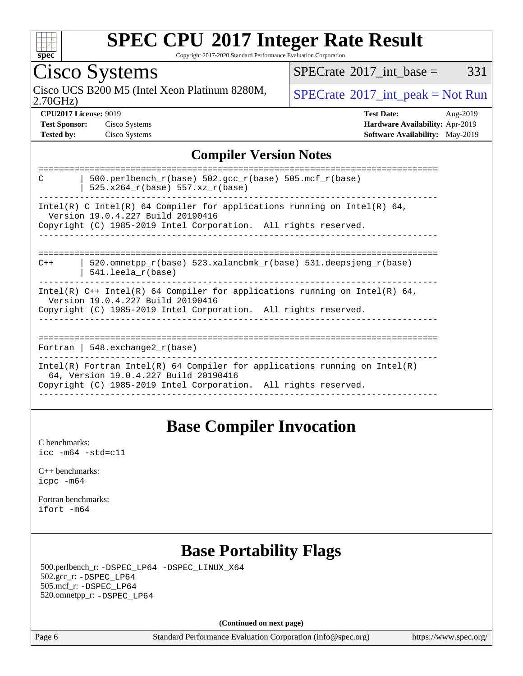

Copyright 2017-2020 Standard Performance Evaluation Corporation

Cisco Systems

Cisco UCS B200 M5 (Intel Xeon Platinum 8280M,  $SPECrate^{\circ}2017\_int\_peak = Not Run$  $SPECrate^{\circ}2017\_int\_peak = Not Run$ 

 $SPECTate$ <sup>®</sup>[2017\\_int\\_base =](http://www.spec.org/auto/cpu2017/Docs/result-fields.html#SPECrate2017intbase) 331

2.70GHz)

**[Tested by:](http://www.spec.org/auto/cpu2017/Docs/result-fields.html#Testedby)** Cisco Systems **[Software Availability:](http://www.spec.org/auto/cpu2017/Docs/result-fields.html#SoftwareAvailability)** May-2019

**[CPU2017 License:](http://www.spec.org/auto/cpu2017/Docs/result-fields.html#CPU2017License)** 9019 **[Test Date:](http://www.spec.org/auto/cpu2017/Docs/result-fields.html#TestDate)** Aug-2019 **[Test Sponsor:](http://www.spec.org/auto/cpu2017/Docs/result-fields.html#TestSponsor)** Cisco Systems **[Hardware Availability:](http://www.spec.org/auto/cpu2017/Docs/result-fields.html#HardwareAvailability)** Apr-2019

#### **[Compiler Version Notes](http://www.spec.org/auto/cpu2017/Docs/result-fields.html#CompilerVersionNotes)**

### **[Base Compiler Invocation](http://www.spec.org/auto/cpu2017/Docs/result-fields.html#BaseCompilerInvocation)**

[C benchmarks](http://www.spec.org/auto/cpu2017/Docs/result-fields.html#Cbenchmarks): [icc -m64 -std=c11](http://www.spec.org/cpu2017/results/res2019q3/cpu2017-20190903-17716.flags.html#user_CCbase_intel_icc_64bit_c11_33ee0cdaae7deeeab2a9725423ba97205ce30f63b9926c2519791662299b76a0318f32ddfffdc46587804de3178b4f9328c46fa7c2b0cd779d7a61945c91cd35)

[C++ benchmarks:](http://www.spec.org/auto/cpu2017/Docs/result-fields.html#CXXbenchmarks) [icpc -m64](http://www.spec.org/cpu2017/results/res2019q3/cpu2017-20190903-17716.flags.html#user_CXXbase_intel_icpc_64bit_4ecb2543ae3f1412ef961e0650ca070fec7b7afdcd6ed48761b84423119d1bf6bdf5cad15b44d48e7256388bc77273b966e5eb805aefd121eb22e9299b2ec9d9)

[Fortran benchmarks](http://www.spec.org/auto/cpu2017/Docs/result-fields.html#Fortranbenchmarks): [ifort -m64](http://www.spec.org/cpu2017/results/res2019q3/cpu2017-20190903-17716.flags.html#user_FCbase_intel_ifort_64bit_24f2bb282fbaeffd6157abe4f878425411749daecae9a33200eee2bee2fe76f3b89351d69a8130dd5949958ce389cf37ff59a95e7a40d588e8d3a57e0c3fd751)

### **[Base Portability Flags](http://www.spec.org/auto/cpu2017/Docs/result-fields.html#BasePortabilityFlags)**

 500.perlbench\_r: [-DSPEC\\_LP64](http://www.spec.org/cpu2017/results/res2019q3/cpu2017-20190903-17716.flags.html#b500.perlbench_r_basePORTABILITY_DSPEC_LP64) [-DSPEC\\_LINUX\\_X64](http://www.spec.org/cpu2017/results/res2019q3/cpu2017-20190903-17716.flags.html#b500.perlbench_r_baseCPORTABILITY_DSPEC_LINUX_X64) 502.gcc\_r: [-DSPEC\\_LP64](http://www.spec.org/cpu2017/results/res2019q3/cpu2017-20190903-17716.flags.html#suite_basePORTABILITY502_gcc_r_DSPEC_LP64) 505.mcf\_r: [-DSPEC\\_LP64](http://www.spec.org/cpu2017/results/res2019q3/cpu2017-20190903-17716.flags.html#suite_basePORTABILITY505_mcf_r_DSPEC_LP64) 520.omnetpp\_r: [-DSPEC\\_LP64](http://www.spec.org/cpu2017/results/res2019q3/cpu2017-20190903-17716.flags.html#suite_basePORTABILITY520_omnetpp_r_DSPEC_LP64)

**(Continued on next page)**

Page 6 Standard Performance Evaluation Corporation [\(info@spec.org\)](mailto:info@spec.org) <https://www.spec.org/>